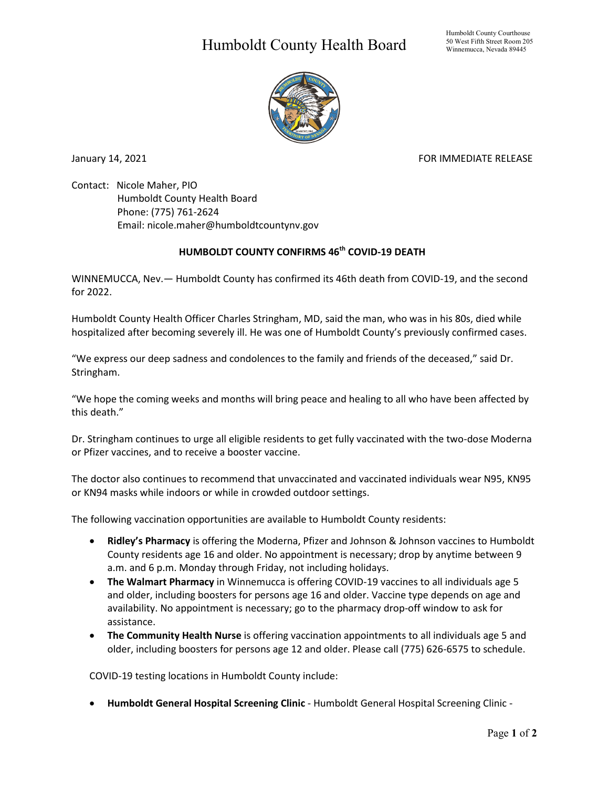## Humboldt County Health Board



January 14, 2021 **FOR IMMEDIATE RELEASE** 

Contact: Nicole Maher, PIO Humboldt County Health Board Phone: (775) 761-2624 Email: nicole.maher@humboldtcountynv.gov

## **HUMBOLDT COUNTY CONFIRMS 46th COVID-19 DEATH**

WINNEMUCCA, Nev.— Humboldt County has confirmed its 46th death from COVID-19, and the second for 2022.

Humboldt County Health Officer Charles Stringham, MD, said the man, who was in his 80s, died while hospitalized after becoming severely ill. He was one of Humboldt County's previously confirmed cases.

"We express our deep sadness and condolences to the family and friends of the deceased," said Dr. Stringham.

"We hope the coming weeks and months will bring peace and healing to all who have been affected by this death."

Dr. Stringham continues to urge all eligible residents to get fully vaccinated with the two-dose Moderna or Pfizer vaccines, and to receive a booster vaccine.

The doctor also continues to recommend that unvaccinated and vaccinated individuals wear N95, KN95 or KN94 masks while indoors or while in crowded outdoor settings.

The following vaccination opportunities are available to Humboldt County residents:

- **Ridley's Pharmacy** is offering the Moderna, Pfizer and Johnson & Johnson vaccines to Humboldt County residents age 16 and older. No appointment is necessary; drop by anytime between 9 a.m. and 6 p.m. Monday through Friday, not including holidays.
- **The Walmart Pharmacy** in Winnemucca is offering COVID-19 vaccines to all individuals age 5 and older, including boosters for persons age 16 and older. Vaccine type depends on age and availability. No appointment is necessary; go to the pharmacy drop-off window to ask for assistance.
- **The Community Health Nurse** is offering vaccination appointments to all individuals age 5 and older, including boosters for persons age 12 and older. Please call (775) 626-6575 to schedule.

COVID-19 testing locations in Humboldt County include:

• **Humboldt General Hospital Screening Clinic** - Humboldt General Hospital Screening Clinic -